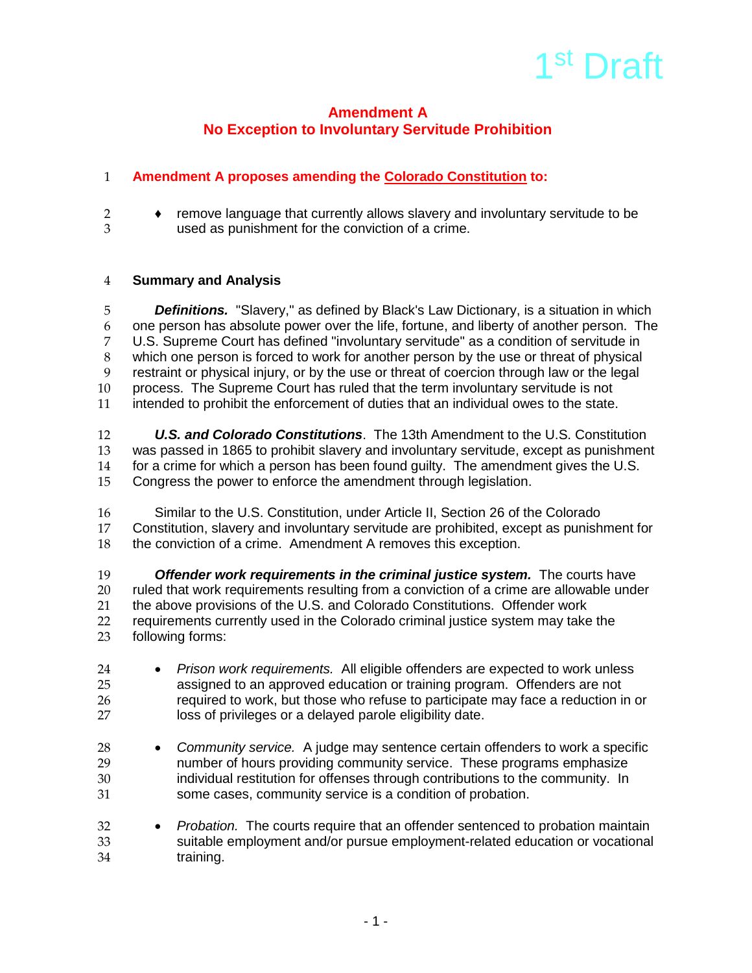

# **Amendment A No Exception to Involuntary Servitude Prohibition**

# **Amendment A proposes amending the Colorado Constitution to:**

- 
- 2 ◆ remove language that currently allows slavery and involuntary servitude to be<br>3 used as punishment for the conviction of a crime used as punishment for the conviction of a crime.

#### **Summary and Analysis**

 *Definitions.* "Slavery," as defined by Black's Law Dictionary, is a situation in which one person has absolute power over the life, fortune, and liberty of another person. The U.S. Supreme Court has defined "involuntary servitude" as a condition of servitude in 8 which one person is forced to work for another person by the use or threat of physical<br>9 restraint or physical injury, or by the use or threat of coercion through law or the legal restraint or physical injury, or by the use or threat of coercion through law or the legal process. The Supreme Court has ruled that the term involuntary servitude is not intended to prohibit the enforcement of duties that an individual owes to the state.

 *U.S. and Colorado Constitutions*. The 13th Amendment to the U.S. Constitution was passed in 1865 to prohibit slavery and involuntary servitude, except as punishment 14 for a crime for which a person has been found guilty. The amendment gives the U.S.<br>15 Congress the power to enforce the amendment through legislation. Congress the power to enforce the amendment through legislation.

16 Similar to the U.S. Constitution, under Article II, Section 26 of the Colorado<br>17 Constitution, slavery and involuntary servitude are prohibited, except as punish Constitution, slavery and involuntary servitude are prohibited, except as punishment for the conviction of a crime. Amendment A removes this exception.

 *Offender work requirements in the criminal justice system.* The courts have ruled that work requirements resulting from a conviction of a crime are allowable under 21 the above provisions of the U.S. and Colorado Constitutions. Offender work<br>22 requirements currently used in the Colorado criminal justice system may take 22 requirements currently used in the Colorado criminal justice system may take the<br>23 following forms: following forms:

- *Prison work requirements.* All eligible offenders are expected to work unless assigned to an approved education or training program. Offenders are not required to work, but those who refuse to participate may face a reduction in or loss of privileges or a delayed parole eligibility date.
- *Community service.* A judge may sentence certain offenders to work a specific number of hours providing community service. These programs emphasize individual restitution for offenses through contributions to the community. In some cases, community service is a condition of probation.
- *Probation.* The courts require that an offender sentenced to probation maintain suitable employment and/or pursue employment-related education or vocational training.